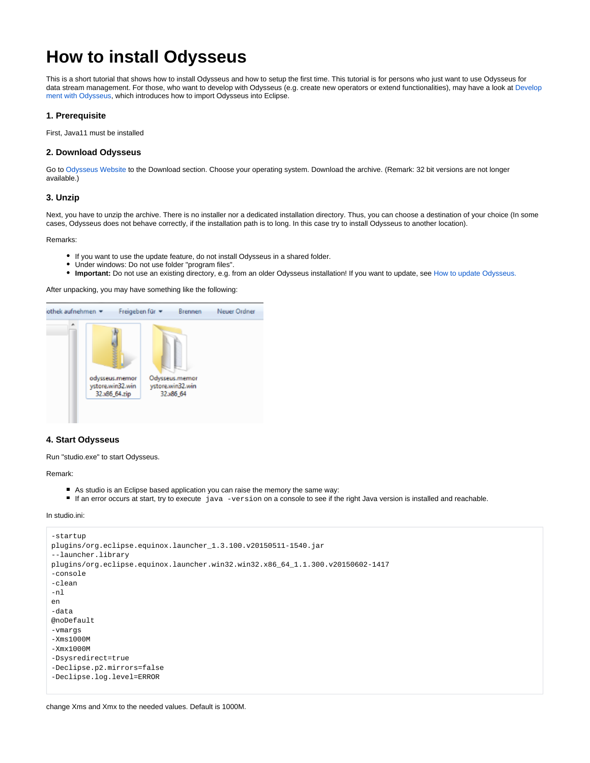# **How to install Odysseus**

This is a short tutorial that shows how to install Odysseus and how to setup the first time. This tutorial is for persons who just want to use Odysseus for data stream management. For those, who want to develop with Odysseus (e.g. create new operators or extend functionalities), may have a look at [Develop](https://wiki.odysseus.informatik.uni-oldenburg.de/display/ODYSSEUS/Development+with+Odysseus) [ment with Odysseus,](https://wiki.odysseus.informatik.uni-oldenburg.de/display/ODYSSEUS/Development+with+Odysseus) which introduces how to import Odysseus into Eclipse.

## **1. Prerequisite**

First, Java11 must be installed

## **2. Download Odysseus**

Go to [Odysseus Website](https://odysseus.informatik.uni-oldenburg.de/downloads/) to the Download section. Choose your operating system. Download the archive. (Remark: 32 bit versions are not longer available.)

## **3. Unzip**

Next, you have to unzip the archive. There is no installer nor a dedicated installation directory. Thus, you can choose a destination of your choice (In some cases, Odysseus does not behave correctly, if the installation path is to long. In this case try to install Odysseus to another location).

Remarks:

- If you want to use the update feature, do not install Odysseus in a shared folder.
- Under windows: Do not use folder "program files".
- **Important:** Do not use an existing directory, e.g. from an older Odysseus installation! If you want to update, see [How to update Odysseus.](https://wiki.odysseus.informatik.uni-oldenburg.de/display/ODYSSEUS/How+to+update+Odysseus)

After unpacking, you may have something like the following:



# **4. Start Odysseus**

Run "studio.exe" to start Odysseus.

Remark:

- As studio is an Eclipse based application you can raise the memory the same way:
- If an error occurs at start, try to execute  $j_{\text{av}}$  -version on a console to see if the right Java version is installed and reachable.

#### In studio.ini:

```
-startup
plugins/org.eclipse.equinox.launcher_1.3.100.v20150511-1540.jar
--launcher.library
plugins/org.eclipse.equinox.launcher.win32.win32.x86_64_1.1.300.v20150602-1417
-console
-clean
-nl
en
-data
@noDefault
-vmargs
-Xms1000M
-Xmx1000M
-Dsysredirect=true
-Declipse.p2.mirrors=false
-Declipse.log.level=ERROR
```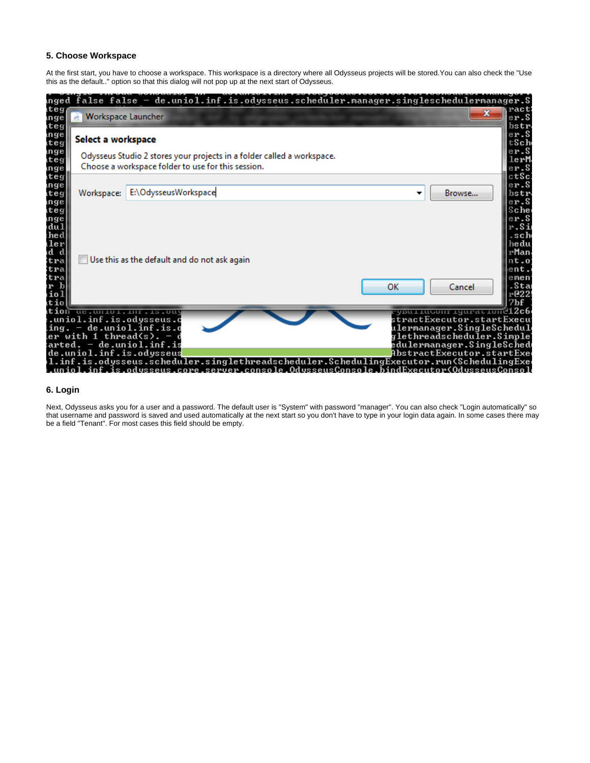# **5. Choose Workspace**

At the first start, you have to choose a workspace. This workspace is a directory where all Odysseus projects will be stored.You can also check the "Use this as the default.." option so that this dialog will not pop up at the next start of Odysseus.

| Workspace Launcher    | $\mathbf{x}$                                                                                                                 |                                                                                                                                               |
|-----------------------|------------------------------------------------------------------------------------------------------------------------------|-----------------------------------------------------------------------------------------------------------------------------------------------|
| Select a workspace    |                                                                                                                              |                                                                                                                                               |
|                       | Odysseus Studio 2 stores your projects in a folder called a workspace.<br>Choose a workspace folder to use for this session. |                                                                                                                                               |
| Workspace:            | E:\OdysseusWorkspace                                                                                                         | Browse<br>▼                                                                                                                                   |
|                       | Use this as the default and do not ask again<br>ue.unioi.inf.is.ou                                                           | ок<br>Cancel<br><u>'you ruwon'r ryurat rone 12c6.</u>                                                                                         |
| ler with 1 thread(s). | .uniol.inf.is.odysseus.c<br>$-$ de.uniol.inf.is.d<br>arted. — de.uniol.inf.is<br>de.uniol.inf.is.odysseus                    | tractExecutor.startExecu<br>tlermanager.SingleSchedul<br>glethreadscheduler.Simple'<br>edulermanager.SingleSched<br>AbstractExecutor.startExe |

# **6. Login**

Next, Odysseus asks you for a user and a password. The default user is "System" with password "manager". You can also check "Login automatically" so that username and password is saved and used automatically at the next start so you don't have to type in your login data again. In some cases there may be a field "Tenant". For most cases this field should be empty.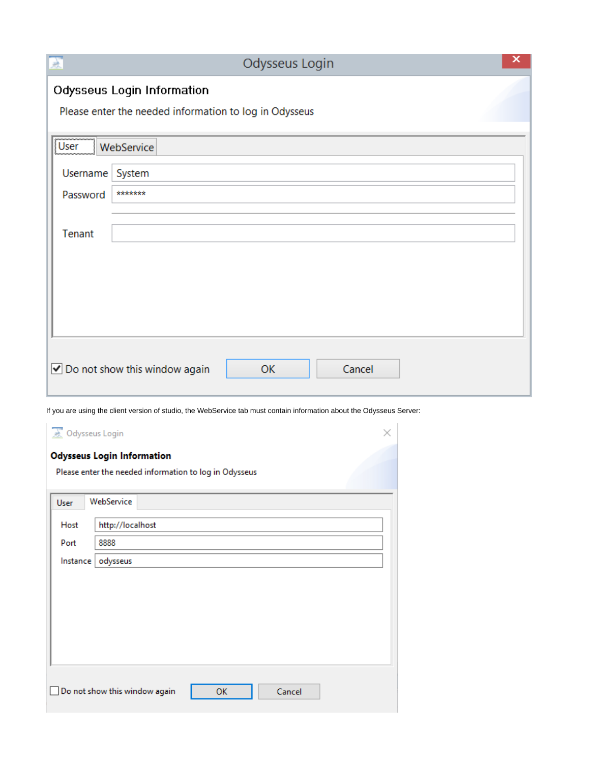| 盂                                                                                    | ×<br>Odysseus Login                                    |  |  |  |  |  |  |  |
|--------------------------------------------------------------------------------------|--------------------------------------------------------|--|--|--|--|--|--|--|
| Odysseus Login Information<br>Please enter the needed information to log in Odysseus |                                                        |  |  |  |  |  |  |  |
| User                                                                                 | WebService                                             |  |  |  |  |  |  |  |
| Username                                                                             | System                                                 |  |  |  |  |  |  |  |
| Password                                                                             | *******                                                |  |  |  |  |  |  |  |
| Tenant                                                                               |                                                        |  |  |  |  |  |  |  |
|                                                                                      | ✔ Do not show this window again<br>Cancel<br><b>OK</b> |  |  |  |  |  |  |  |

If you are using the client version of studio, the WebService tab must contain information about the Odysseus Server:

| <b>A</b> Odysseus Login<br>×                           |                                               |  |  |  |  |  |  |  |  |  |
|--------------------------------------------------------|-----------------------------------------------|--|--|--|--|--|--|--|--|--|
| <b>Odysseus Login Information</b>                      |                                               |  |  |  |  |  |  |  |  |  |
| Please enter the needed information to log in Odysseus |                                               |  |  |  |  |  |  |  |  |  |
| User                                                   | WebService                                    |  |  |  |  |  |  |  |  |  |
| Host                                                   | http://localhost                              |  |  |  |  |  |  |  |  |  |
| Port                                                   | 8888                                          |  |  |  |  |  |  |  |  |  |
| Instance                                               | odysseus                                      |  |  |  |  |  |  |  |  |  |
|                                                        |                                               |  |  |  |  |  |  |  |  |  |
|                                                        |                                               |  |  |  |  |  |  |  |  |  |
|                                                        |                                               |  |  |  |  |  |  |  |  |  |
|                                                        |                                               |  |  |  |  |  |  |  |  |  |
|                                                        |                                               |  |  |  |  |  |  |  |  |  |
|                                                        | Do not show this window again<br>OK<br>Cancel |  |  |  |  |  |  |  |  |  |